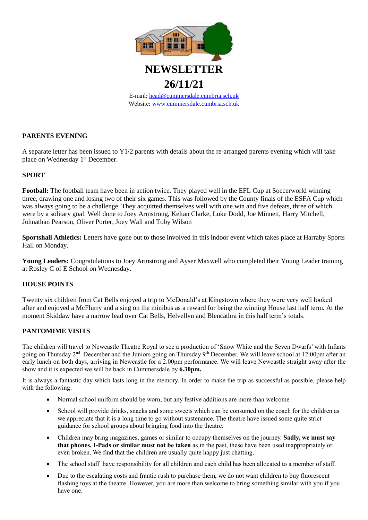

**26/11/21**

E-mail: [head@cummersdale.cumbria.sch.uk](mailto:head@cummersdale.cumbria.sch.uk) Website: [www.cummersdale.cumbria.sch.uk](http://www.cummersdale.cumbria.sch.uk/)

### **PARENTS EVENING**

A separate letter has been issued to Y1/2 parents with details about the re-arranged parents evening which will take place on Wednesday 1<sup>st</sup> December.

### **SPORT**

**Football:** The football team have been in action twice. They played well in the EFL Cup at Soccerworld winning three, drawing one and losing two of their six games. This was followed by the County finals of the ESFA Cup which was always going to be a challenge. They acquitted themselves well with one win and five defeats, three of which were by a solitary goal. Well done to Joey Armstrong, Keltan Clarke, Luke Dodd, Joe Minnett, Harry Mitchell, Johnathan Pearson, Oliver Porter, Joey Wall and Toby Wilson

**Sportshall Athletics:** Letters have gone out to those involved in this indoor event which takes place at Harraby Sports Hall on Monday.

**Young Leaders:** Congratulations to Joey Armstrong and Ayser Maxwell who completed their Young Leader training at Rosley C of E School on Wednesday.

### **HOUSE POINTS**

Twenty six children from Cat Bells enjoyed a trip to McDonald's at Kingstown where they were very well looked after and enjoyed a McFlurry and a sing on the minibus as a reward for being the winning House last half term. At the moment Skiddaw have a narrow lead over Cat Bells, Helvellyn and Blencathra in this half term's totals.

# **PANTOMIME VISITS**

The children will travel to Newcastle Theatre Royal to see a production of 'Snow White and the Seven Dwarfs' with Infants going on Thursday 2<sup>nd</sup> December and the Juniors going on Thursday 9<sup>th</sup> December. We will leave school at 12.00pm after an early lunch on both days, arriving in Newcastle for a 2.00pm performance. We will leave Newcastle straight away after the show and it is expected we will be back in Cummersdale by **6.30pm.**

It is always a fantastic day which lasts long in the memory. In order to make the trip as successful as possible, please help with the following:

- Normal school uniform should be worn, but any festive additions are more than welcome
- School will provide drinks, snacks and some sweets which can be consumed on the coach for the children as we appreciate that it is a long time to go without sustenance. The theatre have issued some quite strict guidance for school groups about bringing food into the theatre.
- Children may bring magazines, games or similar to occupy themselves on the journey. **Sadly, we must say that phones, I-Pads or similar must not be taken** as in the past, these have been used inappropriately or even broken. We find that the children are usually quite happy just chatting.
- The school staff have responsibility for all children and each child has been allocated to a member of staff.
- Due to the escalating costs and frantic rush to purchase them, we do not want children to buy fluorescent flashing toys at the theatre. However, you are more than welcome to bring something similar with you if you have one.